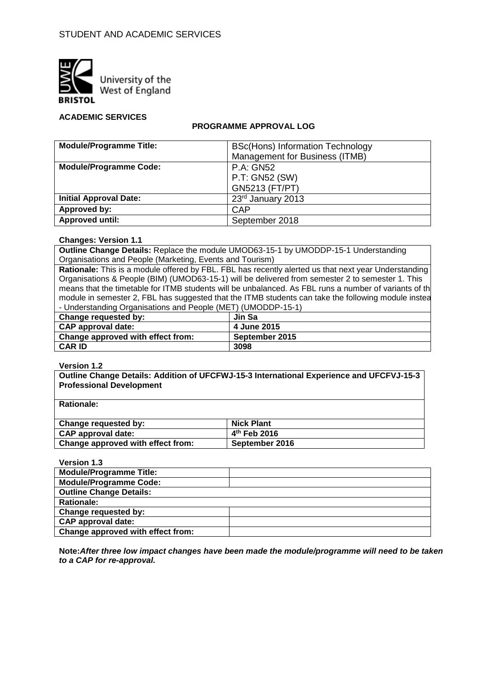

## **ACADEMIC SERVICES**

# **PROGRAMME APPROVAL LOG**

| <b>Module/Programme Title:</b> | <b>BSc(Hons) Information Technology</b> |
|--------------------------------|-----------------------------------------|
|                                | Management for Business (ITMB)          |
| <b>Module/Programme Code:</b>  | <b>P.A: GN52</b>                        |
|                                | P.T: GN52 (SW)                          |
|                                | GN5213 (FT/PT)                          |
| <b>Initial Approval Date:</b>  | 23rd January 2013                       |
| Approved by:                   | CAP                                     |
| <b>Approved until:</b>         | September 2018                          |

#### **Changes: Version 1.1**

**Outline Change Details:** Replace the module UMOD63-15-1 by UMODDP-15-1 Understanding Organisations and People (Marketing, Events and Tourism)

**Rationale:** This is a module offered by FBL. FBL has recently alerted us that next year Understanding Organisations & People (BIM) (UMOD63-15-1) will be delivered from semester 2 to semester 1. This means that the timetable for ITMB students will be unbalanced. As FBL runs a number of variants of th module in semester 2, FBL has suggested that the ITMB students can take the following module instea - Understanding Organisations and People (MET) (UMODDP-15-1)

| Change requested by:              | Jin Sa         |
|-----------------------------------|----------------|
| CAP approval date:                | 4 June 2015    |
| Change approved with effect from: | September 2015 |
| <b>CAR ID</b>                     | 3098           |

#### **Version 1.2**

**Outline Change Details: Addition of UFCFWJ-15-3 International Experience and UFCFVJ-15-3 Professional Development** 

| <b>Rationale:</b> |
|-------------------|
|-------------------|

| Change requested by:              | <b>Nick Plant</b> |
|-----------------------------------|-------------------|
| CAP approval date:                | $4th$ Feb 2016    |
| Change approved with effect from: | September 2016    |

**Version 1.3**

| <b>Module/Programme Title:</b>    |  |
|-----------------------------------|--|
| <b>Module/Programme Code:</b>     |  |
| <b>Outline Change Details:</b>    |  |
| <b>Rationale:</b>                 |  |
| Change requested by:              |  |
| <b>CAP approval date:</b>         |  |
| Change approved with effect from: |  |

**Note:***After three low impact changes have been made the module/programme will need to be taken to a CAP for re-approval.*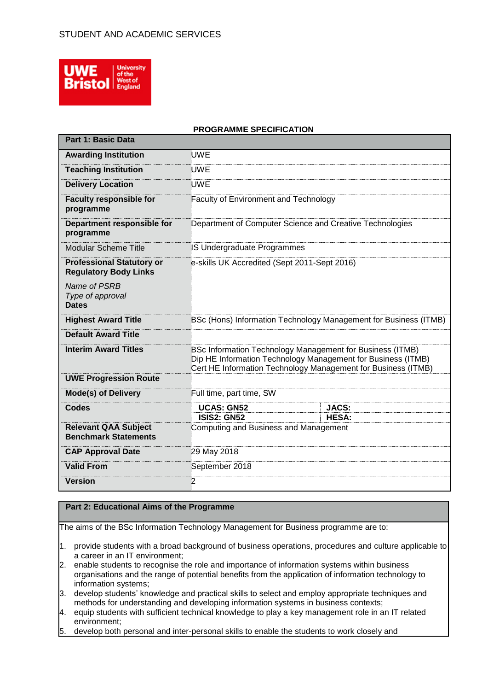# STUDENT AND ACADEMIC SERVICES



**Part 1: Basic Data**

#### **PROGRAMME SPECIFICATION**

| Part 1: Basic Data                                               |                                                                                                                                                                                            |                                                                  |
|------------------------------------------------------------------|--------------------------------------------------------------------------------------------------------------------------------------------------------------------------------------------|------------------------------------------------------------------|
| <b>Awarding Institution</b>                                      | <b>UWE</b>                                                                                                                                                                                 |                                                                  |
| <b>Teaching Institution</b>                                      | <b>UWE</b>                                                                                                                                                                                 |                                                                  |
| <b>Delivery Location</b>                                         | <b>UWE</b>                                                                                                                                                                                 |                                                                  |
| <b>Faculty responsible for</b><br>programme                      | <b>Faculty of Environment and Technology</b>                                                                                                                                               |                                                                  |
| Department responsible for<br>programme                          | Department of Computer Science and Creative Technologies                                                                                                                                   |                                                                  |
| Modular Scheme Title                                             | IS Undergraduate Programmes                                                                                                                                                                |                                                                  |
| <b>Professional Statutory or</b><br><b>Regulatory Body Links</b> | e-skills UK Accredited (Sept 2011-Sept 2016)                                                                                                                                               |                                                                  |
| Name of PSRB<br>Type of approval<br><b>Dates</b>                 |                                                                                                                                                                                            |                                                                  |
| <b>Highest Award Title</b>                                       |                                                                                                                                                                                            | BSc (Hons) Information Technology Management for Business (ITMB) |
| <b>Default Award Title</b>                                       |                                                                                                                                                                                            |                                                                  |
| <b>Interim Award Titles</b>                                      | BSc Information Technology Management for Business (ITMB)<br>Dip HE Information Technology Management for Business (ITMB)<br>Cert HE Information Technology Management for Business (ITMB) |                                                                  |
| <b>UWE Progression Route</b>                                     |                                                                                                                                                                                            |                                                                  |
| <b>Mode(s) of Delivery</b>                                       | Full time, part time, SW                                                                                                                                                                   |                                                                  |
| <b>Codes</b>                                                     | <b>UCAS: GN52</b>                                                                                                                                                                          | <b>JACS:</b>                                                     |
|                                                                  | <b>ISIS2: GN52</b>                                                                                                                                                                         | <b>HESA:</b>                                                     |
| <b>Relevant QAA Subject</b><br><b>Benchmark Statements</b>       | Computing and Business and Management                                                                                                                                                      |                                                                  |
| <b>CAP Approval Date</b>                                         | 29 May 2018                                                                                                                                                                                |                                                                  |
| <b>Valid From</b>                                                | September 2018                                                                                                                                                                             |                                                                  |
| <b>Version</b>                                                   | 2                                                                                                                                                                                          |                                                                  |

## **Part 2: Educational Aims of the Programme**

The aims of the BSc Information Technology Management for Business programme are to:

- 1. provide students with a broad background of business operations, procedures and culture applicable to a career in an IT environment;
- 2. enable students to recognise the role and importance of information systems within business organisations and the range of potential benefits from the application of information technology to information systems;
- 3. develop students' knowledge and practical skills to select and employ appropriate techniques and methods for understanding and developing information systems in business contexts;
- 4. equip students with sufficient technical knowledge to play a key management role in an IT related environment;
- 5. develop both personal and inter-personal skills to enable the students to work closely and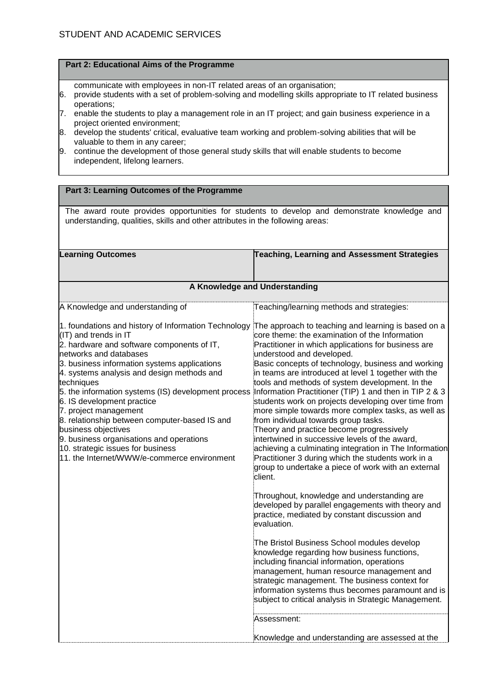#### **Part 2: Educational Aims of the Programme**

- communicate with employees in non-IT related areas of an organisation;
- 6. provide students with a set of problem-solving and modelling skills appropriate to IT related business operations;
- 7. enable the students to play a management role in an IT project; and gain business experience in a project oriented environment;
- 8. develop the students' critical, evaluative team working and problem-solving abilities that will be valuable to them in any career;
- 9. continue the development of those general study skills that will enable students to become independent, lifelong learners.

| Part 3: Learning Outcomes of the Programme                                                                                                                                                                                                                                                                                                                                                                                                                                                                                                                                              |                                                                                                                                                                                                                                                                                                                                                                                                                                                                                                                                                                                                                                                                                                                                                                                                                                                                                                                                                                                                                                                                                                                                                                                                                                                                                                                                                                                                                                                           |  |
|-----------------------------------------------------------------------------------------------------------------------------------------------------------------------------------------------------------------------------------------------------------------------------------------------------------------------------------------------------------------------------------------------------------------------------------------------------------------------------------------------------------------------------------------------------------------------------------------|-----------------------------------------------------------------------------------------------------------------------------------------------------------------------------------------------------------------------------------------------------------------------------------------------------------------------------------------------------------------------------------------------------------------------------------------------------------------------------------------------------------------------------------------------------------------------------------------------------------------------------------------------------------------------------------------------------------------------------------------------------------------------------------------------------------------------------------------------------------------------------------------------------------------------------------------------------------------------------------------------------------------------------------------------------------------------------------------------------------------------------------------------------------------------------------------------------------------------------------------------------------------------------------------------------------------------------------------------------------------------------------------------------------------------------------------------------------|--|
| The award route provides opportunities for students to develop and demonstrate knowledge and<br>understanding, qualities, skills and other attributes in the following areas:                                                                                                                                                                                                                                                                                                                                                                                                           |                                                                                                                                                                                                                                                                                                                                                                                                                                                                                                                                                                                                                                                                                                                                                                                                                                                                                                                                                                                                                                                                                                                                                                                                                                                                                                                                                                                                                                                           |  |
| <b>Learning Outcomes</b>                                                                                                                                                                                                                                                                                                                                                                                                                                                                                                                                                                | Teaching, Learning and Assessment Strategies                                                                                                                                                                                                                                                                                                                                                                                                                                                                                                                                                                                                                                                                                                                                                                                                                                                                                                                                                                                                                                                                                                                                                                                                                                                                                                                                                                                                              |  |
| A Knowledge and Understanding                                                                                                                                                                                                                                                                                                                                                                                                                                                                                                                                                           |                                                                                                                                                                                                                                                                                                                                                                                                                                                                                                                                                                                                                                                                                                                                                                                                                                                                                                                                                                                                                                                                                                                                                                                                                                                                                                                                                                                                                                                           |  |
| A Knowledge and understanding of                                                                                                                                                                                                                                                                                                                                                                                                                                                                                                                                                        | Teaching/learning methods and strategies:                                                                                                                                                                                                                                                                                                                                                                                                                                                                                                                                                                                                                                                                                                                                                                                                                                                                                                                                                                                                                                                                                                                                                                                                                                                                                                                                                                                                                 |  |
| 1. foundations and history of Information Technology<br>(IT) and trends in IT<br>2. hardware and software components of IT,<br>networks and databases<br>3. business information systems applications<br>4. systems analysis and design methods and<br>techniques<br>5. the information systems (IS) development process<br>6. IS development practice<br>7. project management<br>8. relationship between computer-based IS and<br>business objectives<br>9. business organisations and operations<br>10. strategic issues for business<br>11. the Internet/WWW/e-commerce environment | The approach to teaching and learning is based on a<br>core theme: the examination of the Information<br>Practitioner in which applications for business are<br>understood and developed.<br>Basic concepts of technology, business and working<br>in teams are introduced at level 1 together with the<br>tools and methods of system development. In the<br>Information Practitioner (TIP) 1 and then in TIP 2 & 3<br>students work on projects developing over time from<br>more simple towards more complex tasks, as well as<br>from individual towards group tasks.<br>Theory and practice become progressively<br>intertwined in successive levels of the award,<br>achieving a culminating integration in The Information<br>Practitioner 3 during which the students work in a<br>group to undertake a piece of work with an external<br>client.<br>Throughout, knowledge and understanding are<br>developed by parallel engagements with theory and<br>practice, mediated by constant discussion and<br>evaluation.<br>The Bristol Business School modules develop<br>knowledge regarding how business functions,<br>including financial information, operations<br>management, human resource management and<br>strategic management. The business context for<br>information systems thus becomes paramount and is<br>subject to critical analysis in Strategic Management.<br>Assessment:<br>Knowledge and understanding are assessed at the |  |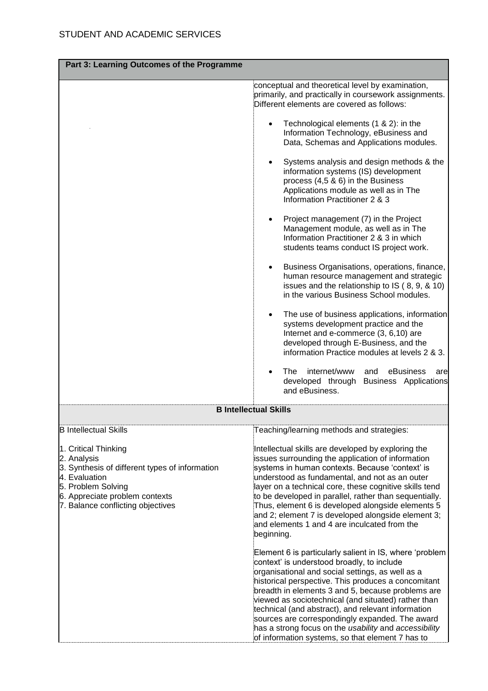| Part 3: Learning Outcomes of the Programme                                                                                                                                                          |                                                                                                                                                                                                                                                                                                                                                                                                                                                                                                                                                    |
|-----------------------------------------------------------------------------------------------------------------------------------------------------------------------------------------------------|----------------------------------------------------------------------------------------------------------------------------------------------------------------------------------------------------------------------------------------------------------------------------------------------------------------------------------------------------------------------------------------------------------------------------------------------------------------------------------------------------------------------------------------------------|
|                                                                                                                                                                                                     | conceptual and theoretical level by examination,<br>primarily, and practically in coursework assignments.<br>Different elements are covered as follows:                                                                                                                                                                                                                                                                                                                                                                                            |
|                                                                                                                                                                                                     | Technological elements (1 & 2): in the<br>Information Technology, eBusiness and<br>Data, Schemas and Applications modules.                                                                                                                                                                                                                                                                                                                                                                                                                         |
|                                                                                                                                                                                                     | Systems analysis and design methods & the<br>information systems (IS) development<br>process (4,5 & 6) in the Business<br>Applications module as well as in The<br>Information Practitioner 2 & 3                                                                                                                                                                                                                                                                                                                                                  |
|                                                                                                                                                                                                     | Project management (7) in the Project<br>Management module, as well as in The<br>Information Practitioner 2 & 3 in which<br>students teams conduct IS project work.                                                                                                                                                                                                                                                                                                                                                                                |
|                                                                                                                                                                                                     | Business Organisations, operations, finance,<br>human resource management and strategic<br>issues and the relationship to IS (8, 9, & 10)<br>in the various Business School modules.                                                                                                                                                                                                                                                                                                                                                               |
|                                                                                                                                                                                                     | The use of business applications, information<br>$\bullet$<br>systems development practice and the<br>Internet and e-commerce (3, 6,10) are<br>developed through E-Business, and the<br>information Practice modules at levels 2 & 3.                                                                                                                                                                                                                                                                                                              |
|                                                                                                                                                                                                     | The<br>internet/www<br>and<br>eBusiness<br>are<br>developed through Business Applications<br>and eBusiness.                                                                                                                                                                                                                                                                                                                                                                                                                                        |
|                                                                                                                                                                                                     | <b>B Intellectual Skills</b>                                                                                                                                                                                                                                                                                                                                                                                                                                                                                                                       |
| <b>B</b> Intellectual Skills                                                                                                                                                                        | Teaching/learning methods and strategies:                                                                                                                                                                                                                                                                                                                                                                                                                                                                                                          |
| 1. Critical Thinking<br>2. Analysis<br>3. Synthesis of different types of information<br>4. Evaluation<br>5. Problem Solving<br>6. Appreciate problem contexts<br>7. Balance conflicting objectives | Intellectual skills are developed by exploring the<br>issues surrounding the application of information<br>systems in human contexts. Because 'context' is<br>understood as fundamental, and not as an outer<br>layer on a technical core, these cognitive skills tend<br>to be developed in parallel, rather than sequentially.<br>Thus, element 6 is developed alongside elements 5<br>and 2; element 7 is developed alongside element 3;<br>and elements 1 and 4 are inculcated from the<br>beginning.                                          |
|                                                                                                                                                                                                     | Element 6 is particularly salient in IS, where 'problem<br>context' is understood broadly, to include<br>organisational and social settings, as well as a<br>historical perspective. This produces a concomitant<br>breadth in elements 3 and 5, because problems are<br>viewed as sociotechnical (and situated) rather than<br>technical (and abstract), and relevant information<br>sources are correspondingly expanded. The award<br>has a strong focus on the usability and accessibility<br>of information systems, so that element 7 has to |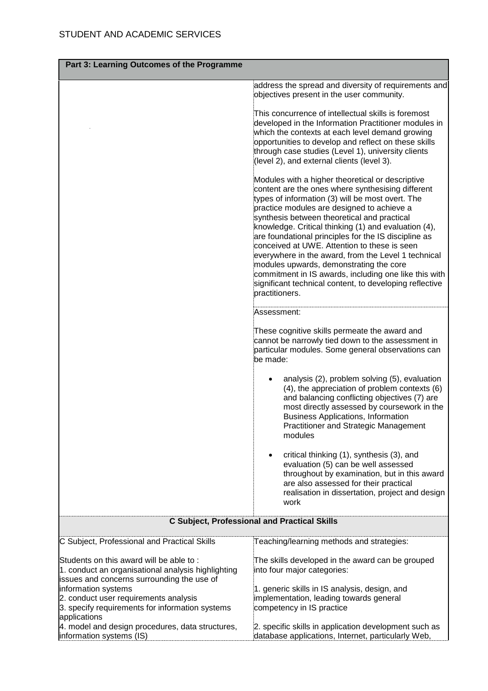| Part 3: Learning Outcomes of the Programme                                                                                                  |                                                                                                                                                                                                                                                                                                                                                                                                                                                                                                                                                                                                                                                                |  |
|---------------------------------------------------------------------------------------------------------------------------------------------|----------------------------------------------------------------------------------------------------------------------------------------------------------------------------------------------------------------------------------------------------------------------------------------------------------------------------------------------------------------------------------------------------------------------------------------------------------------------------------------------------------------------------------------------------------------------------------------------------------------------------------------------------------------|--|
|                                                                                                                                             | address the spread and diversity of requirements and<br>objectives present in the user community.                                                                                                                                                                                                                                                                                                                                                                                                                                                                                                                                                              |  |
|                                                                                                                                             | This concurrence of intellectual skills is foremost<br>developed in the Information Practitioner modules in<br>which the contexts at each level demand growing<br>opportunities to develop and reflect on these skills<br>through case studies (Level 1), university clients<br>(level 2), and external clients (level 3).                                                                                                                                                                                                                                                                                                                                     |  |
|                                                                                                                                             | Modules with a higher theoretical or descriptive<br>content are the ones where synthesising different<br>types of information (3) will be most overt. The<br>practice modules are designed to achieve a<br>synthesis between theoretical and practical<br>knowledge. Critical thinking (1) and evaluation (4),<br>are foundational principles for the IS discipline as<br>conceived at UWE. Attention to these is seen<br>everywhere in the award, from the Level 1 technical<br>modules upwards, demonstrating the core<br>commitment in IS awards, including one like this with<br>significant technical content, to developing reflective<br>practitioners. |  |
|                                                                                                                                             | Assessment:                                                                                                                                                                                                                                                                                                                                                                                                                                                                                                                                                                                                                                                    |  |
|                                                                                                                                             | These cognitive skills permeate the award and<br>cannot be narrowly tied down to the assessment in<br>particular modules. Some general observations can<br>be made:                                                                                                                                                                                                                                                                                                                                                                                                                                                                                            |  |
|                                                                                                                                             | analysis (2), problem solving (5), evaluation<br>(4), the appreciation of problem contexts (6)<br>and balancing conflicting objectives (7) are<br>most directly assessed by coursework in the<br><b>Business Applications, Information</b><br><b>Practitioner and Strategic Management</b><br>modules                                                                                                                                                                                                                                                                                                                                                          |  |
|                                                                                                                                             | critical thinking (1), synthesis (3), and<br>٠<br>evaluation (5) can be well assessed<br>throughout by examination, but in this award<br>are also assessed for their practical<br>realisation in dissertation, project and design<br>work                                                                                                                                                                                                                                                                                                                                                                                                                      |  |
| <b>C Subject, Professional and Practical Skills</b>                                                                                         |                                                                                                                                                                                                                                                                                                                                                                                                                                                                                                                                                                                                                                                                |  |
| C Subject, Professional and Practical Skills                                                                                                | Teaching/learning methods and strategies:                                                                                                                                                                                                                                                                                                                                                                                                                                                                                                                                                                                                                      |  |
| Students on this award will be able to:<br>1. conduct an organisational analysis highlighting<br>issues and concerns surrounding the use of | The skills developed in the award can be grouped<br>into four major categories:                                                                                                                                                                                                                                                                                                                                                                                                                                                                                                                                                                                |  |
| information systems<br>2. conduct user requirements analysis<br>3. specify requirements for information systems<br>applications             | 1. generic skills in IS analysis, design, and<br>implementation, leading towards general<br>competency in IS practice                                                                                                                                                                                                                                                                                                                                                                                                                                                                                                                                          |  |
| 4. model and design procedures, data structures,<br>information systems (IS)                                                                | 2. specific skills in application development such as<br>database applications, Internet, particularly Web,                                                                                                                                                                                                                                                                                                                                                                                                                                                                                                                                                    |  |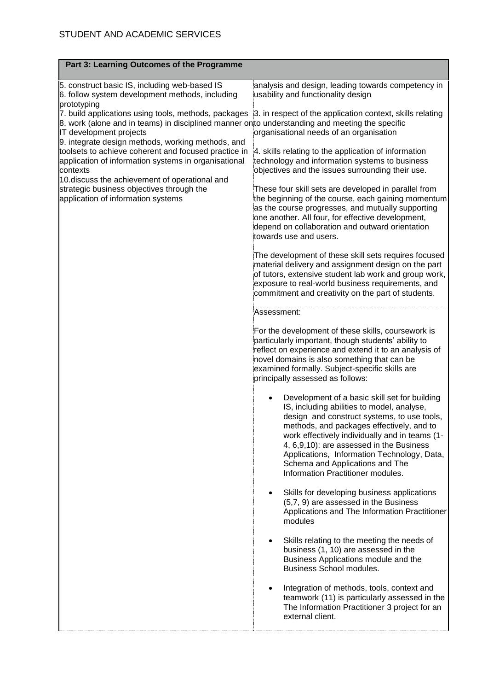| Part 3: Learning Outcomes of the Programme<br>5. construct basic IS, including web-based IS<br>6. follow system development methods, including<br>prototyping<br>8. work (alone and in teams) in disciplined manner on to understanding and meeting the specific<br>IT development projects<br>9. integrate design methods, working methods, and<br>toolsets to achieve coherent and focused practice in<br>application of information systems in organisational<br>contexts<br>10.discuss the achievement of operational and<br>strategic business objectives through the<br>application of information systems | analysis and design, leading towards competency in<br>usability and functionality design<br>7. build applications using tools, methods, packages 3. in respect of the application context, skills relating<br>organisational needs of an organisation<br>4. skills relating to the application of information<br>technology and information systems to business<br>objectives and the issues surrounding their use.<br>These four skill sets are developed in parallel from<br>the beginning of the course, each gaining momentum<br>as the course progresses, and mutually supporting<br>one another. All four, for effective development,<br>depend on collaboration and outward orientation<br>towards use and users.<br>The development of these skill sets requires focused<br>material delivery and assignment design on the part<br>of tutors, extensive student lab work and group work,<br>exposure to real-world business requirements, and<br>commitment and creativity on the part of students.<br>Assessment:<br>For the development of these skills, coursework is<br>particularly important, though students' ability to<br>reflect on experience and extend it to an analysis of<br>novel domains is also something that can be<br>examined formally. Subject-specific skills are<br>principally assessed as follows:<br>Development of a basic skill set for building<br>$\bullet$<br>IS, including abilities to model, analyse,<br>design and construct systems, to use tools,<br>methods, and packages effectively, and to<br>work effectively individually and in teams (1-<br>4, 6,9,10): are assessed in the Business<br>Applications, Information Technology, Data,<br>Schema and Applications and The<br>Information Practitioner modules.<br>Skills for developing business applications<br>(5,7, 9) are assessed in the Business<br>Applications and The Information Practitioner<br>modules<br>Skills relating to the meeting the needs of<br>business (1, 10) are assessed in the<br>Business Applications module and the<br>Business School modules. |
|------------------------------------------------------------------------------------------------------------------------------------------------------------------------------------------------------------------------------------------------------------------------------------------------------------------------------------------------------------------------------------------------------------------------------------------------------------------------------------------------------------------------------------------------------------------------------------------------------------------|-----------------------------------------------------------------------------------------------------------------------------------------------------------------------------------------------------------------------------------------------------------------------------------------------------------------------------------------------------------------------------------------------------------------------------------------------------------------------------------------------------------------------------------------------------------------------------------------------------------------------------------------------------------------------------------------------------------------------------------------------------------------------------------------------------------------------------------------------------------------------------------------------------------------------------------------------------------------------------------------------------------------------------------------------------------------------------------------------------------------------------------------------------------------------------------------------------------------------------------------------------------------------------------------------------------------------------------------------------------------------------------------------------------------------------------------------------------------------------------------------------------------------------------------------------------------------------------------------------------------------------------------------------------------------------------------------------------------------------------------------------------------------------------------------------------------------------------------------------------------------------------------------------------------------------------------------------------------------------------------------------------------------------------------------------------------------------------|
|                                                                                                                                                                                                                                                                                                                                                                                                                                                                                                                                                                                                                  | Integration of methods, tools, context and<br>teamwork (11) is particularly assessed in the<br>The Information Practitioner 3 project for an<br>external client.                                                                                                                                                                                                                                                                                                                                                                                                                                                                                                                                                                                                                                                                                                                                                                                                                                                                                                                                                                                                                                                                                                                                                                                                                                                                                                                                                                                                                                                                                                                                                                                                                                                                                                                                                                                                                                                                                                                  |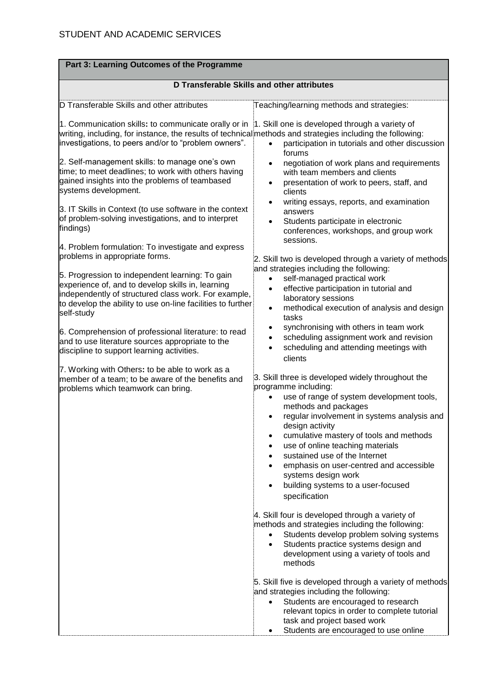| Part 3: Learning Outcomes of the Programme                                                                                                                                                                                                                                                                                                                                                                                                                                                                                                                                                                                                                                                                                                                                                                                                                                                                                                                                                                                                                                                                                                                                                                                               |                                                                                                                                                                                                                                                                                                                                                                                                                                                                                                                                                                                                                                                                                                                                                                                                                                                                                                                                                                                                                                                                                                                                                                                                                                                                                                                                                                                                                                                                                                                                                                                                                                                                                                                                                                                                                                                                                                                         |  |
|------------------------------------------------------------------------------------------------------------------------------------------------------------------------------------------------------------------------------------------------------------------------------------------------------------------------------------------------------------------------------------------------------------------------------------------------------------------------------------------------------------------------------------------------------------------------------------------------------------------------------------------------------------------------------------------------------------------------------------------------------------------------------------------------------------------------------------------------------------------------------------------------------------------------------------------------------------------------------------------------------------------------------------------------------------------------------------------------------------------------------------------------------------------------------------------------------------------------------------------|-------------------------------------------------------------------------------------------------------------------------------------------------------------------------------------------------------------------------------------------------------------------------------------------------------------------------------------------------------------------------------------------------------------------------------------------------------------------------------------------------------------------------------------------------------------------------------------------------------------------------------------------------------------------------------------------------------------------------------------------------------------------------------------------------------------------------------------------------------------------------------------------------------------------------------------------------------------------------------------------------------------------------------------------------------------------------------------------------------------------------------------------------------------------------------------------------------------------------------------------------------------------------------------------------------------------------------------------------------------------------------------------------------------------------------------------------------------------------------------------------------------------------------------------------------------------------------------------------------------------------------------------------------------------------------------------------------------------------------------------------------------------------------------------------------------------------------------------------------------------------------------------------------------------------|--|
| D Transferable Skills and other attributes                                                                                                                                                                                                                                                                                                                                                                                                                                                                                                                                                                                                                                                                                                                                                                                                                                                                                                                                                                                                                                                                                                                                                                                               |                                                                                                                                                                                                                                                                                                                                                                                                                                                                                                                                                                                                                                                                                                                                                                                                                                                                                                                                                                                                                                                                                                                                                                                                                                                                                                                                                                                                                                                                                                                                                                                                                                                                                                                                                                                                                                                                                                                         |  |
| D Transferable Skills and other attributes                                                                                                                                                                                                                                                                                                                                                                                                                                                                                                                                                                                                                                                                                                                                                                                                                                                                                                                                                                                                                                                                                                                                                                                               | Teaching/learning methods and strategies:                                                                                                                                                                                                                                                                                                                                                                                                                                                                                                                                                                                                                                                                                                                                                                                                                                                                                                                                                                                                                                                                                                                                                                                                                                                                                                                                                                                                                                                                                                                                                                                                                                                                                                                                                                                                                                                                               |  |
| 1. Communication skills: to communicate orally or in 1. Skill one is developed through a variety of<br>writing, including, for instance, the results of technical methods and strategies including the following:<br>investigations, to peers and/or to "problem owners".<br>2. Self-management skills: to manage one's own<br>time; to meet deadlines; to work with others having<br>gained insights into the problems of teambased<br>systems development.<br>3. IT Skills in Context (to use software in the context<br>of problem-solving investigations, and to interpret<br>findings)<br>4. Problem formulation: To investigate and express<br>problems in appropriate forms.<br>5. Progression to independent learning: To gain<br>experience of, and to develop skills in, learning<br>independently of structured class work. For example,<br>to develop the ability to use on-line facilities to further<br>self-study<br>6. Comprehension of professional literature: to read<br>and to use literature sources appropriate to the<br>discipline to support learning activities.<br>7. Working with Others: to be able to work as a<br>member of a team; to be aware of the benefits and<br>problems which teamwork can bring. | participation in tutorials and other discussion<br>$\bullet$<br>forums<br>negotiation of work plans and requirements<br>$\bullet$<br>with team members and clients<br>presentation of work to peers, staff, and<br>$\bullet$<br>clients<br>writing essays, reports, and examination<br>$\bullet$<br>answers<br>Students participate in electronic<br>$\bullet$<br>conferences, workshops, and group work<br>sessions.<br>2. Skill two is developed through a variety of methods<br>and strategies including the following:<br>self-managed practical work<br>$\bullet$<br>effective participation in tutorial and<br>$\bullet$<br>laboratory sessions<br>methodical execution of analysis and design<br>$\bullet$<br>tasks<br>synchronising with others in team work<br>$\bullet$<br>scheduling assignment work and revision<br>$\bullet$<br>scheduling and attending meetings with<br>$\bullet$<br>clients<br>3. Skill three is developed widely throughout the<br>programme including:<br>use of range of system development tools,<br>$\bullet$<br>methods and packages<br>regular involvement in systems analysis and<br>$\bullet$<br>design activity<br>cumulative mastery of tools and methods<br>use of online teaching materials<br>sustained use of the Internet<br>emphasis on user-centred and accessible<br>systems design work<br>building systems to a user-focused<br>specification<br>4. Skill four is developed through a variety of<br>methods and strategies including the following:<br>Students develop problem solving systems<br>$\bullet$<br>Students practice systems design and<br>$\bullet$<br>development using a variety of tools and<br>methods<br>5. Skill five is developed through a variety of methods<br>and strategies including the following:<br>Students are encouraged to research<br>$\bullet$<br>relevant topics in order to complete tutorial<br>task and project based work |  |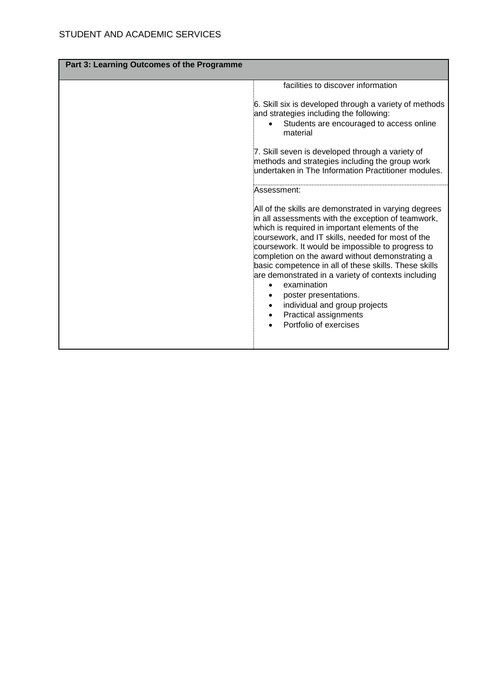| Part 3: Learning Outcomes of the Programme |                                                                                                                                                                                                                                                                                                                                                                                                                                                                                                                                                                                     |
|--------------------------------------------|-------------------------------------------------------------------------------------------------------------------------------------------------------------------------------------------------------------------------------------------------------------------------------------------------------------------------------------------------------------------------------------------------------------------------------------------------------------------------------------------------------------------------------------------------------------------------------------|
|                                            | facilities to discover information                                                                                                                                                                                                                                                                                                                                                                                                                                                                                                                                                  |
|                                            | 6. Skill six is developed through a variety of methods<br>and strategies including the following:<br>Students are encouraged to access online<br>$\bullet$<br>material                                                                                                                                                                                                                                                                                                                                                                                                              |
|                                            | 7. Skill seven is developed through a variety of<br>methods and strategies including the group work<br>undertaken in The Information Practitioner modules.                                                                                                                                                                                                                                                                                                                                                                                                                          |
|                                            | Assessment:                                                                                                                                                                                                                                                                                                                                                                                                                                                                                                                                                                         |
|                                            | All of the skills are demonstrated in varying degrees<br>in all assessments with the exception of teamwork,<br>which is required in important elements of the<br>coursework, and IT skills, needed for most of the<br>coursework. It would be impossible to progress to<br>completion on the award without demonstrating a<br>basic competence in all of these skills. These skills<br>are demonstrated in a variety of contexts including<br>examination<br>$\bullet$<br>poster presentations.<br>individual and group projects<br>Practical assignments<br>Portfolio of exercises |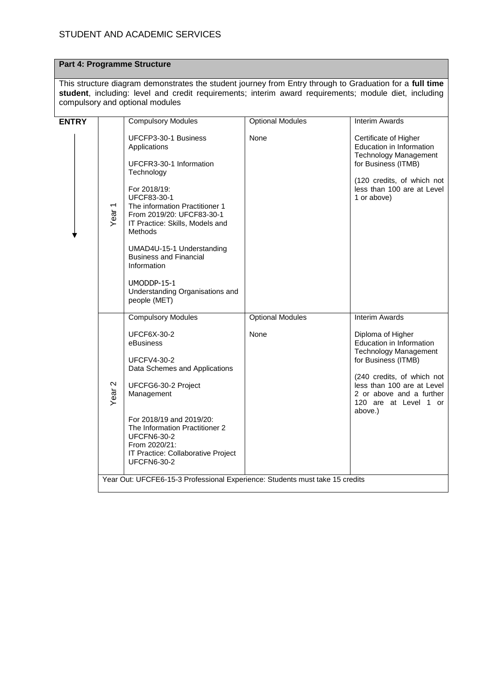# **Part 4: Programme Structure**

This structure diagram demonstrates the student journey from Entry through to Graduation for a **full time student**, including: level and credit requirements; interim award requirements; module diet, including compulsory and optional modules

| <b>ENTRY</b>                      | <b>Compulsory Modules</b>                                                                                                                                                                                                                                                                                                                                                                                 | <b>Optional Modules</b>         | <b>Interim Awards</b>                                                                                                                                                                                                                                     |
|-----------------------------------|-----------------------------------------------------------------------------------------------------------------------------------------------------------------------------------------------------------------------------------------------------------------------------------------------------------------------------------------------------------------------------------------------------------|---------------------------------|-----------------------------------------------------------------------------------------------------------------------------------------------------------------------------------------------------------------------------------------------------------|
| Year <sub>1</sub>                 | UFCFP3-30-1 Business<br>Applications<br>UFCFR3-30-1 Information<br>Technology<br>For 2018/19:<br>UFCF83-30-1<br>The information Practitioner 1<br>From 2019/20: UFCF83-30-1<br>IT Practice: Skills, Models and<br>Methods<br>UMAD4U-15-1 Understanding<br><b>Business and Financial</b><br>Information<br>UMODDP-15-1<br>Understanding Organisations and<br>people (MET)                                  | None                            | Certificate of Higher<br>Education in Information<br>Technology Management<br>for Business (ITMB)<br>(120 credits, of which not<br>less than 100 are at Level<br>1 or above)                                                                              |
| $\boldsymbol{\mathsf{N}}$<br>Year | <b>Compulsory Modules</b><br><b>UFCF6X-30-2</b><br>eBusiness<br><b>UFCFV4-30-2</b><br>Data Schemes and Applications<br>UFCFG6-30-2 Project<br>Management<br>For 2018/19 and 2019/20:<br>The Information Practitioner 2<br><b>UFCFN6-30-2</b><br>From 2020/21:<br>IT Practice: Collaborative Project<br><b>UFCFN6-30-2</b><br>Year Out: UFCFE6-15-3 Professional Experience: Students must take 15 credits | <b>Optional Modules</b><br>None | <b>Interim Awards</b><br>Diploma of Higher<br>Education in Information<br><b>Technology Management</b><br>for Business (ITMB)<br>(240 credits, of which not<br>less than 100 are at Level<br>2 or above and a further<br>120 are at Level 1 or<br>above.) |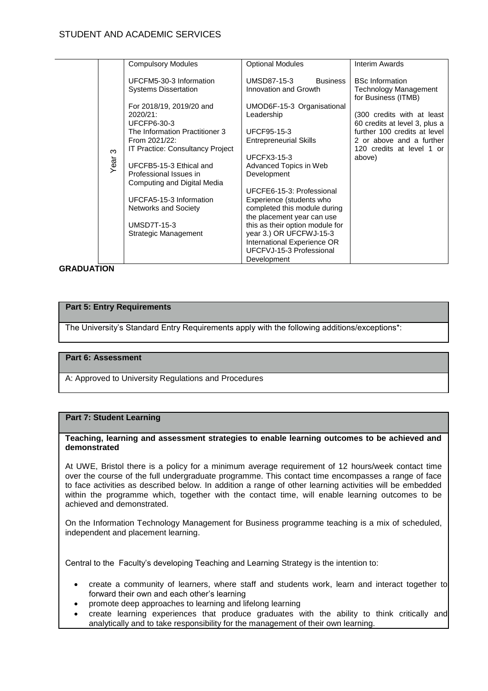# STUDENT AND ACADEMIC SERVICES

|  |          | <b>Compulsory Modules</b>                                                          | <b>Optional Modules</b>                                                               | Interim Awards                                                                |
|--|----------|------------------------------------------------------------------------------------|---------------------------------------------------------------------------------------|-------------------------------------------------------------------------------|
|  |          | UFCFM5-30-3 Information<br><b>Systems Dissertation</b><br>For 2018/19, 2019/20 and | UMSD87-15-3<br><b>Business</b><br>Innovation and Growth<br>UMOD6F-15-3 Organisational | <b>BSc Information</b><br><b>Technology Management</b><br>for Business (ITMB) |
|  |          | 2020/21:                                                                           | Leadership                                                                            | (300 credits with at least                                                    |
|  |          | UFCFP6-30-3                                                                        |                                                                                       |                                                                               |
|  |          | The Information Practitioner 3                                                     | UFCF95-15-3                                                                           | further 100 credits at level                                                  |
|  |          | From 2021/22:<br><b>Entrepreneurial Skills</b>                                     |                                                                                       | 2 or above and a further                                                      |
|  | $\infty$ | IT Practice: Consultancy Project                                                   |                                                                                       | 120 credits at level 1 or                                                     |
|  | Year     |                                                                                    | <b>UFCFX3-15-3</b>                                                                    | above)                                                                        |
|  |          | UFCFB5-15-3 Ethical and                                                            | Advanced Topics in Web                                                                |                                                                               |
|  |          | Professional Issues in                                                             | Development                                                                           |                                                                               |
|  |          | Computing and Digital Media                                                        |                                                                                       |                                                                               |
|  |          |                                                                                    | UFCFE6-15-3: Professional                                                             |                                                                               |
|  |          | UFCFA5-15-3 Information                                                            | Experience (students who                                                              |                                                                               |
|  |          | Networks and Society                                                               | completed this module during                                                          |                                                                               |
|  |          |                                                                                    | the placement year can use                                                            |                                                                               |
|  |          | <b>UMSD7T-15-3</b>                                                                 | this as their option module for                                                       |                                                                               |
|  |          | Strategic Management                                                               | year 3.) OR UFCFWJ-15-3                                                               |                                                                               |
|  |          |                                                                                    | International Experience OR                                                           |                                                                               |
|  |          |                                                                                    | UFCFVJ-15-3 Professional                                                              |                                                                               |
|  |          |                                                                                    | Development                                                                           |                                                                               |

# **GRADUATION**

## **Part 5: Entry Requirements**

The University's Standard Entry Requirements apply with the following additions/exceptions\*:

## **Part 6: Assessment**

A: Approved to University Regulations and Procedures

## **Part 7: Student Learning**

#### **Teaching, learning and assessment strategies to enable learning outcomes to be achieved and demonstrated**

At UWE, Bristol there is a policy for a minimum average requirement of 12 hours/week contact time over the course of the full undergraduate programme. This contact time encompasses a range of face to face activities as described below. In addition a range of other learning activities will be embedded within the programme which, together with the contact time, will enable learning outcomes to be achieved and demonstrated.

On the Information Technology Management for Business programme teaching is a mix of scheduled, independent and placement learning.

Central to the Faculty's developing Teaching and Learning Strategy is the intention to:

- create a community of learners, where staff and students work, learn and interact together to forward their own and each other's learning
- promote deep approaches to learning and lifelong learning
- create learning experiences that produce graduates with the ability to think critically and analytically and to take responsibility for the management of their own learning.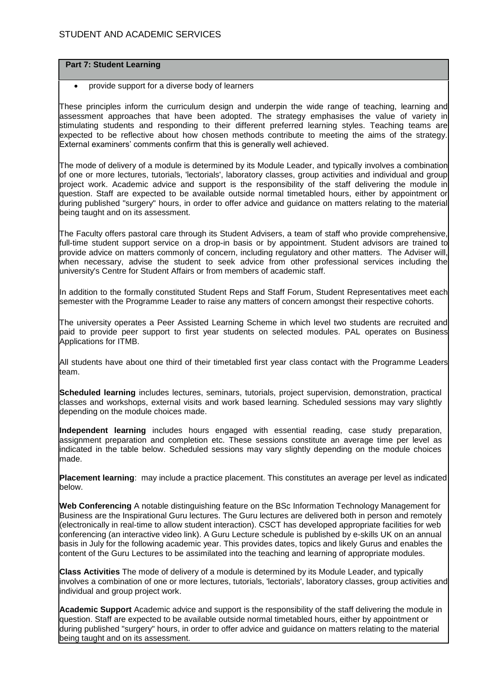## **Part 7: Student Learning**

provide support for a diverse body of learners

These principles inform the curriculum design and underpin the wide range of teaching, learning and assessment approaches that have been adopted. The strategy emphasises the value of variety in stimulating students and responding to their different preferred learning styles. Teaching teams are expected to be reflective about how chosen methods contribute to meeting the aims of the strategy. External examiners' comments confirm that this is generally well achieved.

The mode of delivery of a module is determined by its Module Leader, and typically involves a combination of one or more lectures, tutorials, 'lectorials', laboratory classes, group activities and individual and group project work. Academic advice and support is the responsibility of the staff delivering the module in question. Staff are expected to be available outside normal timetabled hours, either by appointment or during published "surgery" hours, in order to offer advice and guidance on matters relating to the material being taught and on its assessment.

The Faculty offers pastoral care through its Student Advisers, a team of staff who provide comprehensive, full-time student support service on a drop-in basis or by appointment. Student advisors are trained to provide advice on matters commonly of concern, including regulatory and other matters. The Adviser will, when necessary, advise the student to seek advice from other professional services including the university's Centre for Student Affairs or from members of academic staff.

In addition to the formally constituted Student Reps and Staff Forum, Student Representatives meet each semester with the Programme Leader to raise any matters of concern amongst their respective cohorts.

The university operates a Peer Assisted Learning Scheme in which level two students are recruited and paid to provide peer support to first year students on selected modules. PAL operates on Business Applications for ITMB.

All students have about one third of their timetabled first year class contact with the Programme Leaders team.

**Scheduled learning** includes lectures, seminars, tutorials, project supervision, demonstration, practical classes and workshops, external visits and work based learning. Scheduled sessions may vary slightly depending on the module choices made.

**Independent learning** includes hours engaged with essential reading, case study preparation, assignment preparation and completion etc. These sessions constitute an average time per level as indicated in the table below. Scheduled sessions may vary slightly depending on the module choices made.

**Placement learning**: may include a practice placement. This constitutes an average per level as indicated below.

**Web Conferencing** A notable distinguishing feature on the BSc Information Technology Management for Business are the Inspirational Guru lectures. The Guru lectures are delivered both in person and remotely (electronically in real-time to allow student interaction). CSCT has developed appropriate facilities for web conferencing (an interactive video link). A Guru Lecture schedule is published by e-skills UK on an annual basis in July for the following academic year. This provides dates, topics and likely Gurus and enables the content of the Guru Lectures to be assimilated into the teaching and learning of appropriate modules.

**Class Activities** The mode of delivery of a module is determined by its Module Leader, and typically involves a combination of one or more lectures, tutorials, 'lectorials', laboratory classes, group activities and individual and group project work.

**Academic Support** Academic advice and support is the responsibility of the staff delivering the module in question. Staff are expected to be available outside normal timetabled hours, either by appointment or during published "surgery" hours, in order to offer advice and guidance on matters relating to the material being taught and on its assessment.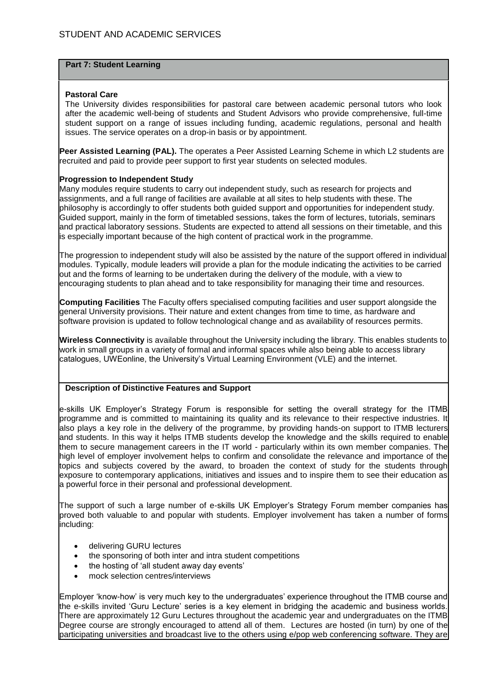#### **Part 7: Student Learning**

#### **Pastoral Care**

The University divides responsibilities for pastoral care between academic personal tutors who look after the academic well-being of students and Student Advisors who provide comprehensive, full-time student support on a range of issues including funding, academic regulations, personal and health issues. The service operates on a drop-in basis or by appointment.

**Peer Assisted Learning (PAL).** The operates a Peer Assisted Learning Scheme in which L2 students are recruited and paid to provide peer support to first year students on selected modules.

## **Progression to Independent Study**

Many modules require students to carry out independent study, such as research for projects and assignments, and a full range of facilities are available at all sites to help students with these. The philosophy is accordingly to offer students both guided support and opportunities for independent study. Guided support, mainly in the form of timetabled sessions, takes the form of lectures, tutorials, seminars and practical laboratory sessions. Students are expected to attend all sessions on their timetable, and this is especially important because of the high content of practical work in the programme.

The progression to independent study will also be assisted by the nature of the support offered in individual modules. Typically, module leaders will provide a plan for the module indicating the activities to be carried out and the forms of learning to be undertaken during the delivery of the module, with a view to encouraging students to plan ahead and to take responsibility for managing their time and resources.

**Computing Facilities** The Faculty offers specialised computing facilities and user support alongside the general University provisions. Their nature and extent changes from time to time, as hardware and software provision is updated to follow technological change and as availability of resources permits.

**Wireless Connectivity** is available throughout the University including the library. This enables students to work in small groups in a variety of formal and informal spaces while also being able to access library catalogues, UWEonline, the University's Virtual Learning Environment (VLE) and the internet.

#### **Description of Distinctive Features and Support**

e-skills UK Employer's Strategy Forum is responsible for setting the overall strategy for the ITMB programme and is committed to maintaining its quality and its relevance to their respective industries. It also plays a key role in the delivery of the programme, by providing hands-on support to ITMB lecturers and students. In this way it helps ITMB students develop the knowledge and the skills required to enable them to secure management careers in the IT world - particularly within its own member companies. The high level of employer involvement helps to confirm and consolidate the relevance and importance of the topics and subjects covered by the award, to broaden the context of study for the students through exposure to contemporary applications, initiatives and issues and to inspire them to see their education as a powerful force in their personal and professional development.

The support of such a large number of e-skills UK Employer's Strategy Forum member companies has proved both valuable to and popular with students. Employer involvement has taken a number of forms including:

- delivering GURU lectures
- the sponsoring of both inter and intra student competitions
- the hosting of 'all student away day events'
- mock selection centres/interviews

Employer 'know-how' is very much key to the undergraduates' experience throughout the ITMB course and the e-skills invited 'Guru Lecture' series is a key element in bridging the academic and business worlds. There are approximately 12 Guru Lectures throughout the academic year and undergraduates on the ITMB Degree course are strongly encouraged to attend all of them. Lectures are hosted (in turn) by one of the participating universities and broadcast live to the others using e/pop web conferencing software. They are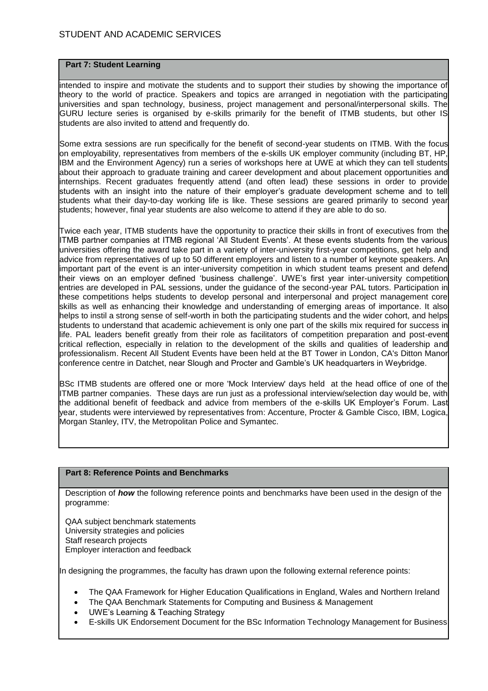#### **Part 7: Student Learning**

intended to inspire and motivate the students and to support their studies by showing the importance of theory to the world of practice. Speakers and topics are arranged in negotiation with the participating universities and span technology, business, project management and personal/interpersonal skills. The GURU lecture series is organised by e-skills primarily for the benefit of ITMB students, but other IS students are also invited to attend and frequently do.

Some extra sessions are run specifically for the benefit of second-year students on ITMB. With the focus on employability, representatives from members of the e-skills UK employer community (including BT, HP, IBM and the Environment Agency) run a series of workshops here at UWE at which they can tell students about their approach to graduate training and career development and about placement opportunities and internships. Recent graduates frequently attend (and often lead) these sessions in order to provide students with an insight into the nature of their employer's graduate development scheme and to tell students what their day-to-day working life is like. These sessions are geared primarily to second year students; however, final year students are also welcome to attend if they are able to do so.

Twice each year, ITMB students have the opportunity to practice their skills in front of executives from the ITMB partner companies at ITMB regional 'All Student Events'. At these events students from the various universities offering the award take part in a variety of inter-university first-year competitions, get help and advice from representatives of up to 50 different employers and listen to a number of keynote speakers. An important part of the event is an inter-university competition in which student teams present and defend their views on an employer defined 'business challenge'. UWE's first year inter-university competition entries are developed in PAL sessions, under the guidance of the second-year PAL tutors. Participation in these competitions helps students to develop personal and interpersonal and project management core skills as well as enhancing their knowledge and understanding of emerging areas of importance. It also helps to instil a strong sense of self-worth in both the participating students and the wider cohort, and helps students to understand that academic achievement is only one part of the skills mix required for success in life. PAL leaders benefit greatly from their role as facilitators of competition preparation and post-event critical reflection, especially in relation to the development of the skills and qualities of leadership and professionalism. Recent All Student Events have been held at the BT Tower in London, CA's Ditton Manor conference centre in Datchet, near Slough and Procter and Gamble's UK headquarters in Weybridge.

BSc ITMB students are offered one or more 'Mock Interview' days held at the head office of one of the ITMB partner companies. These days are run just as a professional interview/selection day would be, with the additional benefit of feedback and advice from members of the e-skills UK Employer's Forum. Last year, students were interviewed by representatives from: Accenture, Procter & Gamble Cisco, IBM, Logica, Morgan Stanley, ITV, the Metropolitan Police and Symantec.

## **Part 8: Reference Points and Benchmarks**

Description of *how* the following reference points and benchmarks have been used in the design of the programme:

QAA subject benchmark statements University strategies and policies Staff research projects Employer interaction and feedback

In designing the programmes, the faculty has drawn upon the following external reference points:

- The QAA Framework for Higher Education Qualifications in England, Wales and Northern Ireland
- The QAA Benchmark Statements for Computing and Business & Management
- UWE's Learning & Teaching Strategy
- E-skills UK Endorsement Document for the BSc Information Technology Management for Business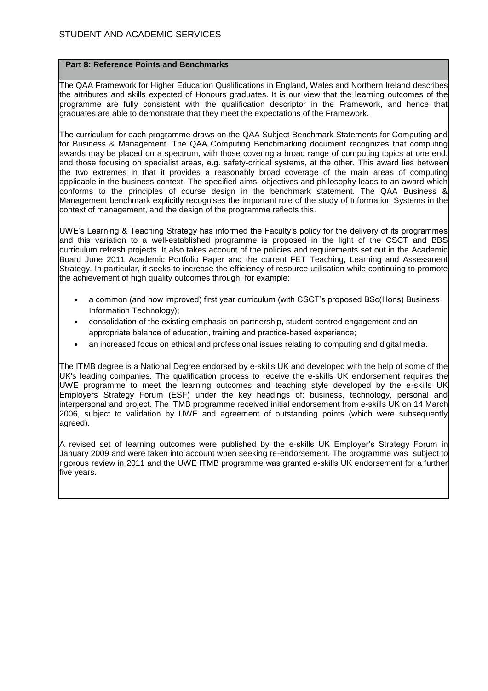## **Part 8: Reference Points and Benchmarks**

The QAA Framework for Higher Education Qualifications in England, Wales and Northern Ireland describes the attributes and skills expected of Honours graduates. It is our view that the learning outcomes of the programme are fully consistent with the qualification descriptor in the Framework, and hence that graduates are able to demonstrate that they meet the expectations of the Framework.

The curriculum for each programme draws on the QAA Subject Benchmark Statements for Computing and for Business & Management. The QAA Computing Benchmarking document recognizes that computing awards may be placed on a spectrum, with those covering a broad range of computing topics at one end, and those focusing on specialist areas, e.g. safety-critical systems, at the other. This award lies between the two extremes in that it provides a reasonably broad coverage of the main areas of computing applicable in the business context. The specified aims, objectives and philosophy leads to an award which conforms to the principles of course design in the benchmark statement. The QAA Business & Management benchmark explicitly recognises the important role of the study of Information Systems in the context of management, and the design of the programme reflects this.

UWE's Learning & Teaching Strategy has informed the Faculty's policy for the delivery of its programmes and this variation to a well-established programme is proposed in the light of the CSCT and BBS curriculum refresh projects. It also takes account of the policies and requirements set out in the Academic Board June 2011 Academic Portfolio Paper and the current FET Teaching, Learning and Assessment Strategy. In particular, it seeks to increase the efficiency of resource utilisation while continuing to promote the achievement of high quality outcomes through, for example:

- a common (and now improved) first year curriculum (with CSCT's proposed BSc(Hons) Business Information Technology);
- consolidation of the existing emphasis on partnership, student centred engagement and an appropriate balance of education, training and practice-based experience;
- an increased focus on ethical and professional issues relating to computing and digital media.

The ITMB degree is a National Degree endorsed by e-skills UK and developed with the help of some of the UK's leading companies. The qualification process to receive the e-skills UK endorsement requires the UWE programme to meet the learning outcomes and teaching style developed by the e-skills UK Employers Strategy Forum (ESF) under the key headings of: business, technology, personal and interpersonal and project. The ITMB programme received initial endorsement from e-skills UK on 14 March 2006, subject to validation by UWE and agreement of outstanding points (which were subsequently agreed).

A revised set of learning outcomes were published by the e-skills UK Employer's Strategy Forum in January 2009 and were taken into account when seeking re-endorsement. The programme was subject to rigorous review in 2011 and the UWE ITMB programme was granted e-skills UK endorsement for a further five years.